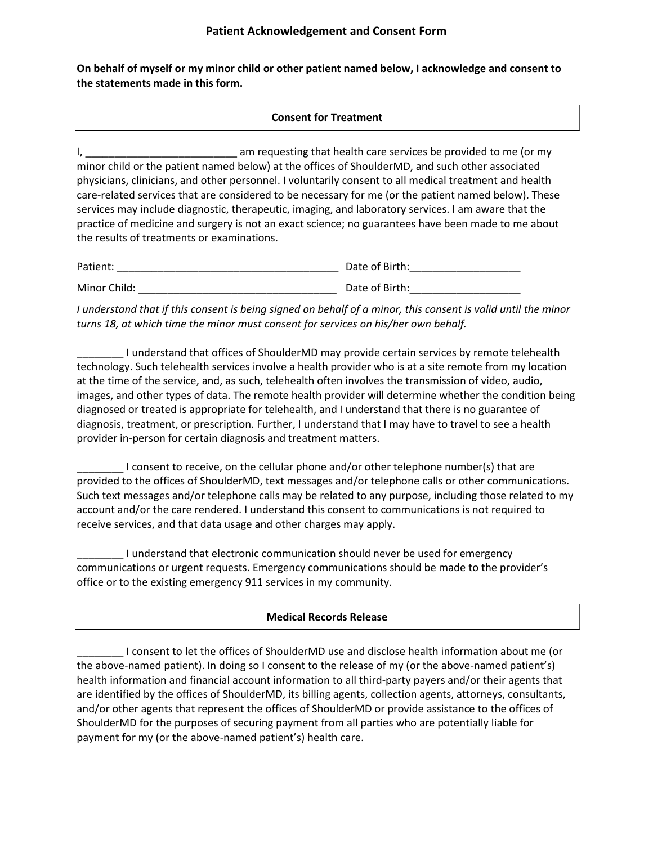**On behalf of myself or my minor child or other patient named below, I acknowledge and consent to the statements made in this form.** 

### **Consent for Treatment**

I, \_\_\_\_\_\_\_\_\_\_\_\_\_\_\_\_\_\_\_\_\_\_\_\_\_\_ am requesting that health care services be provided to me (or my minor child or the patient named below) at the offices of ShoulderMD, and such other associated physicians, clinicians, and other personnel. I voluntarily consent to all medical treatment and health care-related services that are considered to be necessary for me (or the patient named below). These services may include diagnostic, therapeutic, imaging, and laboratory services. I am aware that the practice of medicine and surgery is not an exact science; no guarantees have been made to me about the results of treatments or examinations.

| Patient:     | Date of Birth: |
|--------------|----------------|
| Minor Child: | Date of Birth: |

*I understand that if this consent is being signed on behalf of a minor, this consent is valid until the minor turns 18, at which time the minor must consent for services on his/her own behalf.*

\_\_\_\_\_\_\_\_ I understand that offices of ShoulderMD may provide certain services by remote telehealth technology. Such telehealth services involve a health provider who is at a site remote from my location at the time of the service, and, as such, telehealth often involves the transmission of video, audio, images, and other types of data. The remote health provider will determine whether the condition being diagnosed or treated is appropriate for telehealth, and I understand that there is no guarantee of diagnosis, treatment, or prescription. Further, I understand that I may have to travel to see a health provider in-person for certain diagnosis and treatment matters.

\_\_\_\_\_\_\_\_ I consent to receive, on the cellular phone and/or other telephone number(s) that are provided to the offices of ShoulderMD, text messages and/or telephone calls or other communications. Such text messages and/or telephone calls may be related to any purpose, including those related to my account and/or the care rendered. I understand this consent to communications is not required to receive services, and that data usage and other charges may apply.

\_\_\_\_\_\_\_\_ I understand that electronic communication should never be used for emergency communications or urgent requests. Emergency communications should be made to the provider's office or to the existing emergency 911 services in my community.

### **Medical Records Release**

\_\_\_\_\_\_\_\_ I consent to let the offices of ShoulderMD use and disclose health information about me (or the above-named patient). In doing so I consent to the release of my (or the above-named patient's) health information and financial account information to all third-party payers and/or their agents that are identified by the offices of ShoulderMD, its billing agents, collection agents, attorneys, consultants, and/or other agents that represent the offices of ShoulderMD or provide assistance to the offices of ShoulderMD for the purposes of securing payment from all parties who are potentially liable for payment for my (or the above-named patient's) health care.